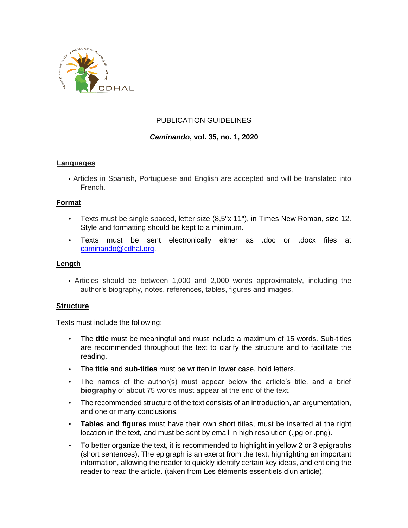

# PUBLICATION GUIDELINES

# *Caminando***, vol. 35, no. 1, 2020**

### **Languages**

• Articles in Spanish, Portuguese and English are accepted and will be translated into French.

### **Format**

- Texts must be single spaced, letter size (8,5"x 11"), in Times New Roman, size 12. Style and formatting should be kept to a minimum.
- Texts must be sent electronically either as .doc or .docx files at caminando@cdhal.org.

#### **Length**

• Articles should be between 1,000 and 2,000 words approximately, including the author's biography, notes, references, tables, figures and images.

#### **Structure**

Texts must include the following:

- The **title** must be meaningful and must include a maximum of 15 words. Sub-titles are recommended throughout the text to clarify the structure and to facilitate the reading.
- The **title** and **sub-titles** must be written in lower case, bold letters.
- The names of the author(s) must appear below the article's title, and a brief **biography** of about 75 words must appear at the end of the text.
- The recommended structure of the text consists of an introduction, an argumentation, and one or many conclusions.
- **Tables and figures** must have their own short titles, must be inserted at the right location in the text, and must be sent by email in high resolution (.jpg or .png).
- To better organize the text, it is recommended to highlight in yellow 2 or 3 epigraphs (short sentences). The epigraph is an exerpt from the text, highlighting an important information, allowing the reader to quickly identify certain key ideas, and enticing the reader to read the article. (taken fro[m](https://lesjeunesjournalistes.files.wordpress.com/2011/03/jj_outilpedagogique_c3.pdf) [Les éléments essentiels d'un article\).](https://lesjeunesjournalistes.files.wordpress.com/2011/03/jj_outilpedagogique_c3.pdf)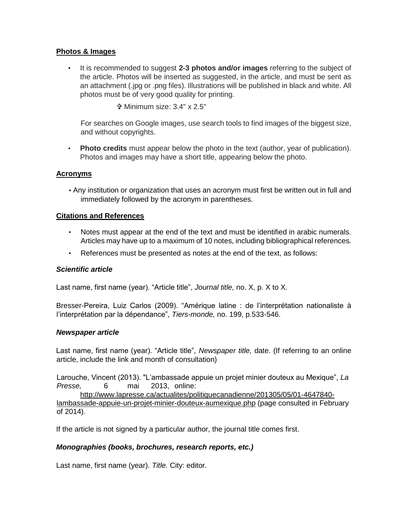# **Photos & Images**

• It is recommended to suggest **2-3 photos and/or images** referring to the subject of the article. Photos will be inserted as suggested, in the article, and must be sent as an attachment (.jpg or .png files). Illustrations will be published in black and white. All photos must be of very good quality for printing.

Minimum size: 3.4" x 2.5"

For searches on Google images, use search tools to find images of the biggest size, and without copyrights.

• **Photo credits** must appear below the photo in the text (author, year of publication). Photos and images may have a short title, appearing below the photo.

### **Acronyms**

• Any institution or organization that uses an acronym must first be written out in full and immediately followed by the acronym in parentheses.

#### **Citations and References**

- Notes must appear at the end of the text and must be identified in arabic numerals. Articles may have up to a maximum of 10 notes, including bibliographical references.
- References must be presented as notes at the end of the text, as follows:

#### *Scientific article*

Last name, first name (year). "Article title", *Journal title,* no. X, p. X to X.

Bresser-Pereira, Luiz Carlos (2009). "Amérique latine : de l'interprétation nationaliste à l'interprétation par la dépendance", *Tiers-monde,* no. 199, p.533-546.

#### *Newspaper article*

Last name, first name (year). "Article title", *Newspaper title,* date. (If referring to an online article, include the link and month of consultation)

Larouche, Vincent (2013). "L'ambassade appuie un projet minier douteux au Mexique", *La Presse,* 6 mai 2013, onlin[e:](http://www.lapresse.ca/actualites/politique-canadienne/201305/05/01-4647840-lambassade-appuie-un-projet-minier-douteux-au-mexique.php)

[http://www.lapresse.ca/actualites/politiquecanadienne/201305/05/01-4647840](http://www.lapresse.ca/actualites/politique-canadienne/201305/05/01-4647840-lambassade-appuie-un-projet-minier-douteux-au-mexique.php) [lambassade-appuie-un-projet-minier-douteux-aumexique.php](http://www.lapresse.ca/actualites/politique-canadienne/201305/05/01-4647840-lambassade-appuie-un-projet-minier-douteux-au-mexique.php) (page consulted in February of 2014).

If the article is not signed by a particular author, the journal title comes first.

# *Monographies (books, brochures, research reports, etc.)*

Last name, first name (year). *Title.* City: editor.